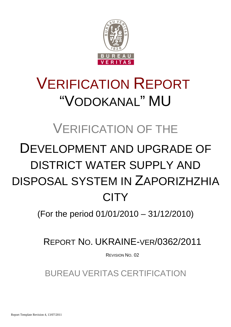

# VERIFICATION REPORT "VODOKANAL" MU

## VERIFICATION OF THE

# DEVELOPMENT AND UPGRADE OF DISTRICT WATER SUPPLY AND DISPOSAL SYSTEM IN ZAPORIZHZHIA **CITY**

(For the period 01/01/2010 – 31/12/2010)

REPORT NO. UKRAINE-VER/0362/2011

REVISION NO. 02

BUREAU VERITAS CERTIFICATION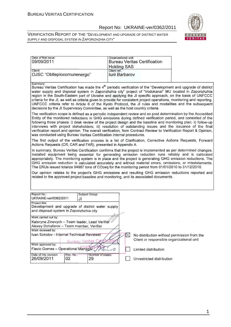

| Date of first issue:                                                                                                                                                                                                                                                                                                                                                                                                                                                                                                                                                                                                                                                                       | Organizational unit:  |                                                                                          |  |
|--------------------------------------------------------------------------------------------------------------------------------------------------------------------------------------------------------------------------------------------------------------------------------------------------------------------------------------------------------------------------------------------------------------------------------------------------------------------------------------------------------------------------------------------------------------------------------------------------------------------------------------------------------------------------------------------|-----------------------|------------------------------------------------------------------------------------------|--|
| 09/09/2011                                                                                                                                                                                                                                                                                                                                                                                                                                                                                                                                                                                                                                                                                 |                       | <b>Bureau Veritas Certification</b>                                                      |  |
|                                                                                                                                                                                                                                                                                                                                                                                                                                                                                                                                                                                                                                                                                            |                       |                                                                                          |  |
|                                                                                                                                                                                                                                                                                                                                                                                                                                                                                                                                                                                                                                                                                            | <b>Holding SAS</b>    |                                                                                          |  |
| Client:                                                                                                                                                                                                                                                                                                                                                                                                                                                                                                                                                                                                                                                                                    | Client ref.:          |                                                                                          |  |
| OJSC "Oblteplocomunenergo"                                                                                                                                                                                                                                                                                                                                                                                                                                                                                                                                                                                                                                                                 | <b>Iurii Barbarov</b> |                                                                                          |  |
|                                                                                                                                                                                                                                                                                                                                                                                                                                                                                                                                                                                                                                                                                            |                       |                                                                                          |  |
| Summary:<br>Bureau Veritas Certification has made the 4 <sup>th</sup> periodic verification of the "Development and upgrade of district<br>water supply and disposal system in Zaporizhzhia city" project of "Vodokanal" MU located in Zaporizhzhia<br>region in the South-Eastern part of Ukraine and applying the JI specific approach, on the basis of UNFCCC<br>criteria for the JI, as well as criteria given to provide for consistent project operations, monitoring and reporting.<br>UNFCCC criteria refer to Article 6 of the Kyoto Protocol, the JI rules and modalities and the subsequent<br>decisions by the JI Supervisory Committee, as well as the host country criteria. |                       |                                                                                          |  |
| The verification scope is defined as a periodic independent review and ex post determination by the Accredited<br>Entity of the monitored reductions in GHG emissions during defined verification period, and consisted of the<br>following three phases: i) desk review of the project design and the baseline and monitoring plan; ii) follow-up<br>interviews with project stakeholders; iii) resolution of outstanding issues and the issuance of the final<br>verification report and opinion. The overall verification, from Contract Review to Verification Report & Opinion,<br>was conducted using Bureau Veritas Certification internal procedures.                              |                       |                                                                                          |  |
| The first output of the verification process is a list of Clarification, Corrective Actions Requests, Forward<br>Actions Requests (CR, CAR and FAR), presented in Appendix A.                                                                                                                                                                                                                                                                                                                                                                                                                                                                                                              |                       |                                                                                          |  |
| In summary, Bureau Veritas Certification confirms that the project is implemented as per determined changes.<br>Installed equipment being essential for generating emission reduction runs reliably and is calibrated<br>appropriately. The monitoring system is in place and the project is generating GHG emission reductions. The<br>GHG emission reduction is calculated accurately and without material errors, omissions, or misstatements.<br>The ERUs issued totalize 94987 tons of CO2eq for the monitoring period from 01/01/2010 to 31/12/2010.                                                                                                                                 |                       |                                                                                          |  |
| Our opinion relates to the project's GHG emissions and resulting GHG emission reductions reported and<br>related to the approved project baseline and monitoring, and its associated documents.                                                                                                                                                                                                                                                                                                                                                                                                                                                                                            |                       |                                                                                          |  |
|                                                                                                                                                                                                                                                                                                                                                                                                                                                                                                                                                                                                                                                                                            |                       |                                                                                          |  |
| Report No.:<br>Subject Group:                                                                                                                                                                                                                                                                                                                                                                                                                                                                                                                                                                                                                                                              |                       |                                                                                          |  |
| UKRAINE-ver/0362/2011<br>JI                                                                                                                                                                                                                                                                                                                                                                                                                                                                                                                                                                                                                                                                |                       |                                                                                          |  |
| Project title:<br>Development and upgrade of district water supply<br>and disposal system in Zaporizhzhia city                                                                                                                                                                                                                                                                                                                                                                                                                                                                                                                                                                             |                       |                                                                                          |  |
|                                                                                                                                                                                                                                                                                                                                                                                                                                                                                                                                                                                                                                                                                            |                       |                                                                                          |  |
| Work carried out by:                                                                                                                                                                                                                                                                                                                                                                                                                                                                                                                                                                                                                                                                       |                       |                                                                                          |  |
| Kateryna Zinevych - Team leader, Lead Verifier                                                                                                                                                                                                                                                                                                                                                                                                                                                                                                                                                                                                                                             |                       |                                                                                          |  |
| Alexey Dzhafarov - Team member, Verifier                                                                                                                                                                                                                                                                                                                                                                                                                                                                                                                                                                                                                                                   |                       |                                                                                          |  |
| Work reviewed by:                                                                                                                                                                                                                                                                                                                                                                                                                                                                                                                                                                                                                                                                          |                       |                                                                                          |  |
| Ivan Sokolov - Internal Technical Reviewer<br><b>Burgau Veritas</b>                                                                                                                                                                                                                                                                                                                                                                                                                                                                                                                                                                                                                        | $\boxtimes$           | No distribution without permission from the<br>Client or responsible organizational unit |  |
| Work approved by:                                                                                                                                                                                                                                                                                                                                                                                                                                                                                                                                                                                                                                                                          |                       |                                                                                          |  |
| Flavio Gomes - Operational Manager                                                                                                                                                                                                                                                                                                                                                                                                                                                                                                                                                                                                                                                         |                       | Limited distribution                                                                     |  |
| Date of this revision:<br>Rev. No.:<br>Number of pages:<br>26/09/2011<br>02<br>29                                                                                                                                                                                                                                                                                                                                                                                                                                                                                                                                                                                                          |                       | Unrestricted distribution                                                                |  |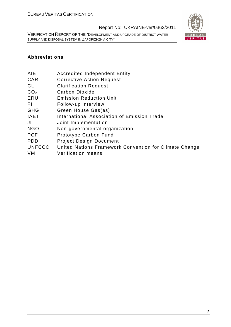VERIFICATION REPORT OF THE "DEVELOPMENT AND UPGRADE OF DISTRICT WATER SUPPLY AND DISPOSAL SYSTEM IN ZAPORIZHZHIA CITY"



### **Abbreviations**

- AIE Accredited Independent Entity
- CAR Corrective Action Request
- CL Clarification Request
- CO<sub>2</sub> Carbon Dioxide
- ERU Emission Reduction Unit
- FI Follow-up interview
- GHG Green House Gas(es)
- IAET International Association of Emission Trade
- JI Joint Implementation
- NGO Non-governmental organization
- PCF Prototype Carbon Fund
- PDD Project Design Document
- UNFCCC United Nations Framework Convention for Climate Change
- VM Verification means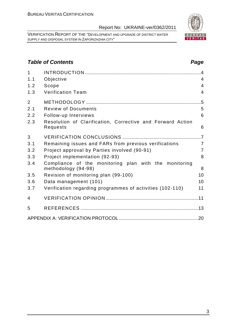VERIFICATION REPORT OF THE "DEVELOPMENT AND UPGRADE OF DISTRICT WATER SUPPLY AND DISPOSAL SYSTEM IN ZAPORIZHZHIA CITY"

1 INTRODUCTION .........................................................................................4 1.1 Objective 4 1.2 Scope 4

## **Table of Contents Page 2018**

| 1.3                                 | <b>Verification Team</b>                                                                                                     | $\overline{4}$ |
|-------------------------------------|------------------------------------------------------------------------------------------------------------------------------|----------------|
| $\overline{2}$<br>2.1<br>2.2<br>2.3 | <b>Review of Documents</b><br>Follow-up Interviews<br>Resolution of Clarification, Corrective and Forward Action<br>Requests | 5<br>6<br>6    |
|                                     |                                                                                                                              |                |
| 3                                   |                                                                                                                              |                |
| 3.1                                 | Remaining issues and FARs from previous verifications                                                                        | 7              |
| 3.2                                 | Project approval by Parties involved (90-91)                                                                                 | 7              |
| 3.3                                 | Project implementation (92-93)                                                                                               | 8              |
| 3.4                                 | Compliance of the monitoring plan with the monitoring<br>methodology (94-98)                                                 | 8              |
| 3.5                                 | Revision of monitoring plan (99-100)                                                                                         | 10             |
| 3.6                                 | Data management (101)                                                                                                        | 10             |
| 3.7                                 | Verification regarding programmes of activities (102-110)                                                                    | 11             |
| 4                                   |                                                                                                                              |                |
| 5                                   |                                                                                                                              |                |
|                                     |                                                                                                                              |                |
|                                     |                                                                                                                              |                |
|                                     |                                                                                                                              |                |
|                                     |                                                                                                                              |                |
|                                     |                                                                                                                              |                |
|                                     |                                                                                                                              |                |
|                                     |                                                                                                                              |                |
|                                     |                                                                                                                              |                |

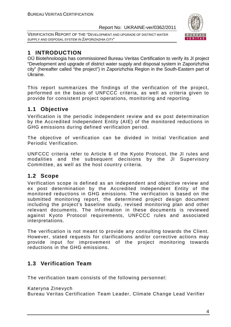VERIFICATION REPORT OF THE "DEVELOPMENT AND UPGRADE OF DISTRICT WATER SUPPLY AND DISPOSAL SYSTEM IN ZAPORIZHZHIA CITY"



## **1 INTRODUCTION**

OÜ Biotehnoloogia has commissioned Bureau Veritas Certification to verify its JI project "Development and upgrade of district water supply and disposal system in Zaporizhzhia city" (hereafter called "the project") in Zaporizhzhia Region in the South-Eastern part of Ukraine.

This report summarizes the findings of the verification of the project, performed on the basis of UNFCCC criteria, as well as criteria given to provide for consistent project operations, monitoring and reporting.

## **1.1 Objective**

Verification is the periodic independent review and ex post determination by the Accredited Independent Entity (AIE) of the monitored reductions in GHG emissions during defined verification period.

The objective of verification can be divided in Initial Verification and Periodic Verification.

UNFCCC criteria refer to Article 6 of the Kyoto Protocol, the JI rules and modalities and the subsequent decisions by the JI Supervisory Committee, as well as the host country criteria.

## **1.2 Scope**

Verification scope is defined as an independent and objective review and ex post determination by the Accredited Independent Entity of the monitored reductions in GHG emissions. The verification is based on the submitted monitoring report, the determined project design document including the project's baseline study, revised monitoring plan and other relevant documents. The information in these documents is reviewed against Kyoto Protocol requirements, UNFCCC rules and associated interpretations.

The verification is not meant to provide any consulting towards the Client. However, stated requests for clarifications and/or corrective actions may provide input for improvement of the project monitoring towards reductions in the GHG emissions.

## **1.3 Verification Team**

The verification team consists of the following personnel:

Kateryna Zinevych

Bureau Veritas Certification Team Leader, Climate Change Lead Verifier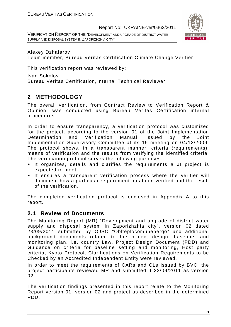VERIFICATION REPORT OF THE "DEVELOPMENT AND UPGRADE OF DISTRICT WATER SUPPLY AND DISPOSAL SYSTEM IN ZAPORIZHZHIA CITY"



Alexey Dzhafarov Team member, Bureau Veritas Certification Climate Change Verifier

This verification report was reviewed by:

Ivan Sokolov Bureau Veritas Certification, Internal Technical Reviewer

## **2 METHODOLOGY**

The overall verification, from Contract Review to Verification Report & Opinion, was conducted using Bureau Veritas Certification internal procedures.

In order to ensure transparency, a verification protocol was customized for the project, according to the version 01 of the Joint Implementation Determination and Verification Manual, issued by the Joint Implementation Supervisory Committee at its 19 meeting on 04/12/2009. The protocol shows, in a transparent manner, criteria (requirements), means of verification and the results from verifying the identified criteria. The verification protocol serves the following purposes:

- It organizes, details and clarifies the requirements a JI project is expected to meet;
- It ensures a transparent verification process where the verifier will document how a particular requirement has been verified and the result of the verification.

The completed verification protocol is enclosed in Appendix A to this report.

## **2.1 Review of Documents**

The Monitoring Report (MR) "Development and upgrade of district water supply and disposal system in Zaporizhzhia city", version 02 dated 23/09/2011 submitted by OJSC "Oblteplocomunenergo" and additional background documents related to the project design, baseline, and monitoring plan, i.e. country Law, Project Design Document (PDD) and Guidance on criteria for baseline setting and monitoring, Host party criteria, Kyoto Protocol, Clarifications on Verification Requirements to be Checked by an Accredited Independent Entity were reviewed.

In order to meet the requirements of CARs and CLs issued by BVC, the project participants reviewed MR and submitted it 23/09/2011 as version  $02<sub>1</sub>$ 

The verification findings presented in this report relate to the Monitoring Report version 01, version 02 and project as described in the determined PDD.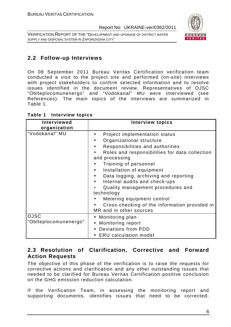VERIFICATION REPORT OF THE "DEVELOPMENT AND UPGRADE OF DISTRICT WATER SUPPLY AND DISPOSAL SYSTEM IN ZAPORIZHZHIA CITY"



## **2.2 Follow-up Interviews**

On 08 September 2011 Bureau Veritas Certification verification team conducted a visit to the project site and performed (on-site) interviews with project stakeholders to confirm selected information and to resolve issues identified in the document review. Representatives of OJSC "Oblteplocomunenergo" and "Vodokanal" MU were interviewed (see References). The main topics of the interviews are summarized in Table 1.

| Table 1 | <b>Interview topics</b> |  |
|---------|-------------------------|--|
|---------|-------------------------|--|

| Interviewed<br>organization          | <b>Interview topics</b>                                                                                                                                                                                                                                                                                                                                                                                                                                        |
|--------------------------------------|----------------------------------------------------------------------------------------------------------------------------------------------------------------------------------------------------------------------------------------------------------------------------------------------------------------------------------------------------------------------------------------------------------------------------------------------------------------|
| "Vodokanal" MU                       | Project implementation status<br>Organizational structure<br>Responsibilities and authorities<br>Roles and responsibilities for data collection<br>and processing<br>Training of personnel<br>Installation of equipment<br>Data logging, archiving and reporting<br>Internal audits and check-ups<br>Quality management procedures and<br>technology<br>Metering equipment control<br>Cross-checking of the information provided in<br>MR and in other sources |
| <b>OJSC</b><br>"Oblteplocomunenergo" | • Monitoring plan<br>Monitoring report<br>Deviations from PDD<br><b>ERU</b> calculation model                                                                                                                                                                                                                                                                                                                                                                  |

## **2.3 Resolution of Clarification, Corrective and Forward Action Requests**

The objective of this phase of the verification is to raise the requests for corrective actions and clarification and any other outstanding issues that needed to be clarified for Bureau Veritas Certification positive conclusion on the GHG emission reduction calculation.

If the Verification Team, in assessing the monitoring report and supporting documents, identifies issues that need to be corrected,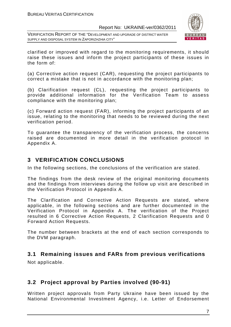VERIFICATION REPORT OF THE "DEVELOPMENT AND UPGRADE OF DISTRICT WATER SUPPLY AND DISPOSAL SYSTEM IN ZAPORIZHZHIA CITY"



clarified or improved with regard to the monitoring requirements, it should raise these issues and inform the project participants of these issues in the form of:

(a) Corrective action request (CAR), requesting the project participants to correct a mistake that is not in accordance with the monitoring plan;

(b) Clarification request (CL), requesting the project participants to provide additional information for the Verification Team to assess compliance with the monitoring plan;

(c) Forward action request (FAR), informing the project participants of an issue, relating to the monitoring that needs to be reviewed during the next verification period.

To guarantee the transparency of the verification process, the concerns raised are documented in more detail in the verification protocol in Appendix A.

## **3 VERIFICATION CONCLUSIONS**

In the following sections, the conclusions of the verification are stated.

The findings from the desk review of the original monitoring documents and the findings from interviews during the follow up visit are described in the Verification Protocol in Appendix A.

The Clarification and Corrective Action Requests are stated, where applicable, in the following sections and are further documented in the Verification Protocol in Appendix A. The verification of the Project resulted in 6 Corrective Action Requests, 2 Clarification Requests and 0 Forward Action Requests.

The number between brackets at the end of each section corresponds to the DVM paragraph.

## **3.1 Remaining issues and FARs from previous verifications**

Not applicable.

## **3.2 Project approval by Parties involved (90-91)**

Written project approvals from Party Ukraine have been issued by the National Environmental Investment Agency, i.e. Letter of Endorsement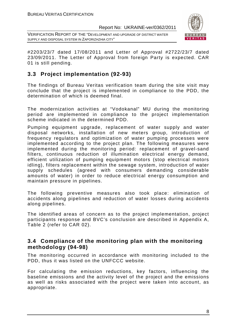VERIFICATION REPORT OF THE "DEVELOPMENT AND UPGRADE OF DISTRICT WATER SUPPLY AND DISPOSAL SYSTEM IN ZAPORIZHZHIA CITY"



#2203/23/7 dated 17/08/2011 and Letter of Approval #2722/23/7 dated 23/09/2011. The Letter of Approval from foreign Party is expected. CAR 01 is still pending.

## **3.3 Project implementation (92-93)**

The findings of Bureau Veritas verification team during the site visit may conclude that the project is implemented in compliance to the PDD, the determination of which is deemed final.

The modernization activities at "Vodokanal" MU during the monitoring period are implemented in compliance to the project implementation scheme indicated in the determined PDD.

Pumping equipment upgrade, replacement of water supply and water disposal networks, installation of new meters group, introduction of frequency regulators and optimization of water pumping processes were implemented according to the project plan. The following measures were implemented during the monitoring period: replacement of gravel-sand filters, continuous reduction of illumination electrical energy demand, efficient utilization of pumping equipment motors (stop electrical motors idling), filters replacement within the sewage system, introduction of water supply schedules (agreed with consumers demanding considerable amounts of water) in order to reduce electrical energy consumption and maintain pressure in pipelines.

The following preventive measures also took place: elimination of accidents along pipelines and reduction of water losses during accidents along pipelines.

The identified areas of concern as to the project implementation, project participants response and BVC's conclusion are described in Appendix A, Table 2 (refer to CAR 02).

## **3.4 Compliance of the monitoring plan with the monitoring methodology (94-98)**

The monitoring occurred in accordance with monitoring included to the PDD, thus it was listed on the UNFCCC website.

For calculating the emission reductions, key factors, influencing the baseline emissions and the activity level of the project and the emissions as well as risks associated with the project were taken into account, as appropriate.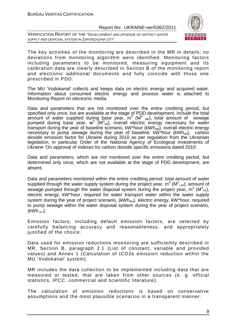VERIFICATION REPORT OF THE "DEVELOPMENT AND UPGRADE OF DISTRICT WATER SUPPLY AND DISPOSAL SYSTEM IN ZAPORIZHZHIA CITY"



The key activities of the monitoring are described in the MR in details; no deviations from monitoring algorithm were identified. Monitoring factors including parameters to be monitored, measuring equipment and its calibration data are clearly described in Section B of the monitoring report and electronic additional documents and fully coincide with those one prescribed in PDD.

The MU 'Vodokanal' collects and keeps data on electric energy and acquired water. Information about consumed electric energy and process water is attached to Monitoring Report on electronic media.

Data and parameters that are not monitored over the entire crediting period, but specified only once, but are available at the stage of PDD development, include the total amount of water supplied during base year,  $m^3$  (M $^3$  <sub>wb</sub>), total amount of sewage pumped during base year,  $\textsf{M}^{3}$  ( $\textsf{M}^{3}{}_{\textit{vb}}$ ), overall electric energy necessary for water transport during the year of baseline scenario,  $kW^*$ hour  $(kWh_{wb})$ , overall electric energy necessary to pump sewage during the year of baseline,  $kW^*$ hour  $(kWh_{vb})$ , carbon dioxide emission factor for Ukraine during 2010 as per regulation from the Ukrainian legislation, in particular Order of the National Agency of Ecological Investments of Ukraine 'On approval of indexes for carbon dioxide specific emissions dated 2010'.

Data and parameters, which are not monitored over the entire crediting period, but determined only once, which are not available at the stage of PDD development, are absent.

Data and parameters monitored within the entire crediting period: total amount of water supplied through the water supply system during the project year,  $m^3$  (M $^3$ <sub>i wr</sub>), amount of sewage pumped through the water disposal system during the project year,  $m^3$  (M $^3$ <sub>ivr</sub>), electric energy, kW\*hour, required for water transport water within the water supply system during the year of project scenario,  $(kWh_{wri})$ , electric energy,  $kW^*$ hour, required to pump sewage within the water disposal system during the year of project scenario,  $(kWh_{\nu r i})$ .

Emission factors, including default emission factors, are selected by carefully balancing accuracy and reasonableness, and appropriately justified of the choice.

Data used for emission reductions monitoring are sufficiently described in MR, Section B, paragraph 2.1 (List of constant, variable and provided values) and Annex 1 (Calculation of tCO2e emission reduction within the MU 'Vodokanal' system).

MR includes the data collection to be implemented including data that are measured or tested, that are taken from other sources (e. g. official statistics, IPCC, commercial and scientific literature).

The calculation of emission reductions is based on conservative assumptions and the most plausible scenarios in a transparent manner.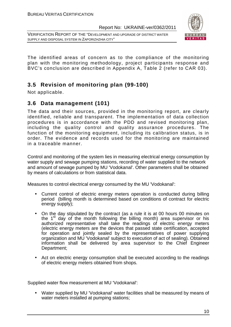VERIFICATION REPORT OF THE "DEVELOPMENT AND UPGRADE OF DISTRICT WATER SUPPLY AND DISPOSAL SYSTEM IN ZAPORIZHZHIA CITY"



The identified areas of concern as to the compliance of the monitoring plan with the monitoring methodology, project participants response and BVC's conclusion are described in Appendix A, Table 2 (refer to CAR 03).

## **3.5 Revision of monitoring plan (99-100)**

Not applicable.

## **3.6 Data management (101)**

The data and their sources, provided in the monitoring report, are clearly identified, reliable and transparent. The implementation of data collection procedures is in accordance with the PDD and revised monitoring plan, including the quality control and quality assurance procedures. The function of the monitoring equipment, including its calibration status, is in order. The evidence and records used for the monitoring are maintained in a traceable manner.

Control and monitoring of the system lies in measuring electrical energy consumption by water supply and sewage pumping stations, recording of water supplied to the network and amount of sewage pumped by MU 'Vodokanal'. Other parameters shall be obtained by means of calculations or from statistical data.

Measures to control electrical energy consumed by the MU 'Vodokanal':

- Current control of electric energy meters operation is conducted during billing period (billing month is determined based on conditions of contract for electric energy supply);
- On the day stipulated by the contract (as a rule it is at 00 hours 00 minutes on the  $1<sup>st</sup>$  day of the month following the billing month) area supervisor or his authorized representative shall take the readings of electric energy meters (electric energy meters are the devices that passed state certification, accepted for operation and jointly sealed by the representatives of power supplying organization and MU 'Vodokanal' subject to execution of act of sealing). Obtained information shall be delivered by area supervisor to the Chief Engineer Department;
- Act on electric energy consumption shall be executed according to the readings of electric energy meters obtained from shops.

Supplied water flow measurement at MU 'Vodokanal':

• Water supplied by MU 'Vodokanal' water facilities shall be measured by means of water meters installed at pumping stations;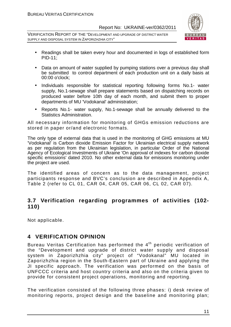VERIFICATION REPORT OF THE "DEVELOPMENT AND UPGRADE OF DISTRICT WATER SUPPLY AND DISPOSAL SYSTEM IN ZAPORIZHZHIA CITY"



- Readings shall be taken every hour and documented in logs of established form PID-11;
- Data on amount of water supplied by pumping stations over a previous day shall be submitted to control department of each production unit on a daily basis at 00:00 o'clock;
- Individuals responsible for statistical reporting following forms No.1- water supply, No.1-sewage shall prepare statements based on dispatching records on produced water before 10th day of each month, and submit them to proper departments of MU 'Vodokanal' administration;
- Reports No.1- water supply, No.1-sewage shall be annually delivered to the Statistics Administration.

All necessary information for monitoring of GHGs emission reductions are stored in paper or/and electronic formats.

The only type of external data that is used in the monitoring of GHG emissions at MU 'Vodokanal' is Carbon dioxide Emission Factor for Ukrainian electrical supply network as per regulation from the Ukrainian legislation, in particular Order of the National Agency of Ecological Investments of Ukraine 'On approval of indexes for carbon dioxide specific emissions' dated 2010. No other external data for emissions monitoring under the project are used.

The identified areas of concern as to the data management, project participants response and BVC's conclusion are described in Appendix A, Table 2 (refer to CL 01, CAR 04, CAR 05, CAR 06, CL 02, CAR 07).

## **3.7 Verification regarding programmes of activities (102- 110)**

Not applicable.

## **4 VERIFICATION OPINION**

Bureau Veritas Certification has performed the 4<sup>th</sup> periodic verification of the "Development and upgrade of district water supply and disposal system in Zaporizhzhia city" project of "Vodokanal" MU located in Zaporizhzhia region in the South-Eastern part of Ukraine and applying the JI specific approach. The verification was performed on the basis of UNFCCC criteria and host country criteria and also on the criteria given to provide for consistent project operations, monitoring and reporting.

The verification consisted of the following three phases: i) desk review of monitoring reports, project design and the baseline and monitoring plan;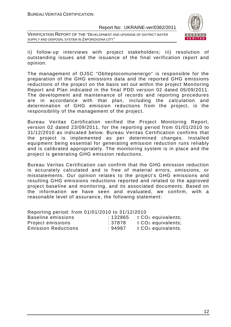VERIFICATION REPORT OF THE "DEVELOPMENT AND UPGRADE OF DISTRICT WATER SUPPLY AND DISPOSAL SYSTEM IN ZAPORIZHZHIA CITY"



ii) follow-up interviews with project stakeholders; iii) resolution of outstanding issues and the issuance of the final verification report and opinion.

The management of OJSC "Oblteplocomunenergo" is responsible for the preparation of the GHG emissions data and the reported GHG emissions reductions of the project on the basis set out within the project Monitoring Report and Plan indicated in the final PDD version 02 dated 05/09/2011. The development and maintenance of records and reporting procedures are in accordance with that plan, including the calculation and determination of GHG emission reductions from the project, is the responsibility of the management of the project.

Bureau Veritas Certification verified the Project Monitoring Report, version 02 dated 23/09/2011, for the reporting period from 01/01/2010 to 31/12/2010 as indicated below. Bureau Veritas Certification confirms that the project is implemented as per determined changes. Installed equipment being essential for generating emission reduction runs reliably and is calibrated appropriately. The monitoring system is in place and the project is generating GHG emission reductions.

Bureau Veritas Certification can confirm that the GHG emission reduction is accurately calculated and is free of material errors, omissions, or misstatements. Our opinion relates to the project's GHG emissions and resulting GHG emissions reductions reported and related to the approved project baseline and monitoring, and its associated documents. Based on the information we have seen and evaluated, we confirm, with a reasonable level of assurance, the following statement:

Reporting period: from 01/01/2010 to 31/12/2010

| Baseline emissions         | : 132865 | t CO <sub>2</sub> equivalents; |
|----------------------------|----------|--------------------------------|
| Project emissions          | :37878   | t CO <sub>2</sub> equivalents; |
| <b>Emission Reductions</b> | :94987   | t CO <sub>2</sub> equivalents. |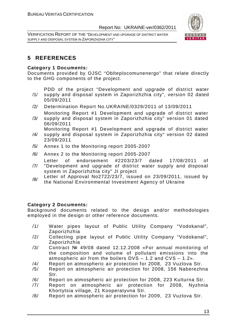VERIFICATION REPORT OF THE "DEVELOPMENT AND UPGRADE OF DISTRICT WATER SUPPLY AND DISPOSAL SYSTEM IN ZAPORIZHZHIA CITY"



## **5 REFERENCES**

#### **Category 1 Documents:**

Documents provided by OJSC "Oblteplocomunenergo" that relate directly to the GHG components of the project.

PDD of the project "Development and upgrade of district water

- /1/ supply and disposal system in Zaporizhzhia city", version 02 dated 05/09/2011
- /2/ Determination Report No.UKRAINE/0329/2011 of 13/09/2011
- /3/ Monitoring Report #1 Development and upgrade of district water supply and disposal system in Zaporizhzhia city" version 01 dated 06/09/2011

Monitoring Report #1 Development and upgrade of district water

- /4/ supply and disposal system in Zaporizhzhia city" version 02 dated 23/09/2011
- /5/ Annex 1 to the Monitoring report 2005-2007
- /6/ Annex 2 to the Monitoring report 2005-2007

Letter of endorsement #2203/23/7 dated 17/08/2011 of

- /7/ "Development and upgrade of district water supply and disposal system in Zaporizhzhia city" JI project
- /8/ Letter of Approval No2722/23/7, issued on 23/09/2011, issued by the National Environmental Investment Agency of Ukraine

### **Category 2 Documents:**

Background documents related to the design and/or methodologies employed in the design or other reference documents.

- /1/ Water pipes layout of Public Utility Company "Vodokanal", Zaporizhzhia
- /2/ Collecting pipe layout of Public Utility Company "Vodokanal", Zaporizhzhia
- /3/ Contract № 49/08 dated 12.12.2008 «For annual monitoring of the composition and volume of pollutant emissions into the atmospheric air from the boilers DVS – 1.2 and CVS – 1.2».
- /4/ Report on atmospheric air protection for 2008, 23 Vuzlova Str.
- /5/ Report on atmospheric air protection for 2008, 156 Naberezhna Str.
- /6/ Report on atmospheric air protection for 2008, 223 Kulturna Str.
- /7/ Report on atmospheric air protection for 2008, Nyzhnia Khortytsia village, 21 Kooperatyvna Str.
- /8/ Report on atmospheric air protection for 2009, 23 Vuzlova Str.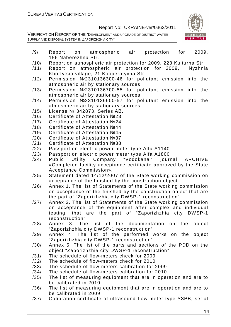

- /9/ Report on atmospheric air protection for 2009, 156 Naberezhna Str.
- /10/ Report on atmospheric air protection for 2009, 223 Kulturna Str.
- /11/ Report on atmospheric air protection for 2009, Nyzhnia Khortytsia village, 21 Kooperatyvna Str.
- /12/ Permission №2310136300-46 for pollutant emission into the atmospheric air by stationary sources
- /13/ Permission №2310136700-55 for pollutant emission into the atmospheric air by stationary sources
- /14/ Permission №2310136600-57 for pollutant emission into the atmospheric air by stationary sources
- /15/ License № 342873, Series АВ.
- /16/ Certificate of Attestation №23
- /17/ Certificate of Attestation №24
- /18/ Certificate of Attestation №44
- /19/ Certificate of Attestation №45
- /20/ Certificate of Attestation №37
- /21/ Certificate of Attestation №38
- /22/ Passport on electric power meter type Alfa A1140
- /23/ Passport on electric power meter type Alfa А1800
- /24/ Public Utility Company "Vodokanal" journal ARCHIVE «Completed facility acceptance certificate approved by the State Acceptance Commission».
- /25/ Statement dated 14/12/2007 of the State working commission on acceptance of the finished by the construction object
- /26/ Annex 1. The list of Statements of the State working commission on acceptance of the finished by the construction object that are the part of "Zaporizhzhia city DWSP-1 reconstruction"
- /27/ Annex 2. The list of Statements of the State working commission on acceptance of the equipment after complex and individual testing, that are the part of "Zaporizhzhia city DWSP-1 reconstruction"
- /28/ Annex 3. The list of the documentation on the object "Zaporizhzhia city DWSP-1 reconstruction"
- /29/ Annex 4. The list of the performed works on the object "Zaporizhzhia city DWSP-1 reconstruction"
- /30/ Annex 5. The list of the parts and sections of the PDD on the object "Zaporizhzhia city DWSP-1 reconstruction"
- /31/ The schedule of flow-meters check for 2009
- /32/ The schedule of flow-meters check for 2010
- /33/ The schedule of flow-meters calibration for 2009
- /34/ The schedule of flow-meters calibration for 2010
- /35/ The list of measuring equipment that are in operation and are to be calibrated in 2010
- /36/ The list of measuring equipment that are in operation and are to be calibrated in 2009
- /37/ Calibration certificate of ultrasound flow-meter type УЗРВ, serial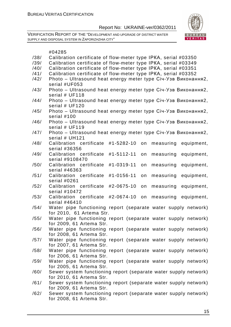

|      | #04285                                                                          |
|------|---------------------------------------------------------------------------------|
| /38/ | Calibration certificate of flow-meter type IPKA, serial #03350                  |
| /39/ | Calibration certificate of flow-meter type IPKA, serial #03349                  |
| /40/ | Calibration certificate of flow-meter type IPKA, serial #03351                  |
| /41/ | Calibration certificate of flow-meter type IPKA, serial #03352                  |
| /42/ | Photo - Ultrasound heat energy meter type Січ-Узв Виконання2,                   |
|      | serial #UF053                                                                   |
| /43/ | Photo - Ultrasound heat energy meter type Ciч-Узв Виконання2,                   |
|      | serial # UF118                                                                  |
| /44/ | Photo - Ultrasound heat energy meter type Ciu-Y3B Виконання2,<br>serial # UF120 |
| /45/ | Photo - Ultrasound heat energy meter type Ciu-Y3B Виконання2,                   |
|      | serial #100                                                                     |
| /46/ | Photo - Ultrasound heat energy meter type Ciu-Y3B Виконання2,                   |
|      | serial # UF119                                                                  |
| /47/ | Photo - Ultrasound heat energy meter type Ciч-Узв Виконання2,                   |
|      | serial # UH121                                                                  |
| /48/ | Calibration certificate<br>#1-5282-10<br>measuring<br>on<br>equipment,          |
|      | serial #36356                                                                   |
| /49/ | Calibration certificate<br>#1-5112-11<br>equipment,<br>measuring<br>on          |
|      | serial #9108470                                                                 |
| /50/ | #1-0319-11<br>Calibration certificate<br>on<br>measuring<br>equipment,          |
|      | serial #46363                                                                   |
| /51/ | #1-0156-11<br>equipment,<br>Calibration certificate<br>on<br>measuring          |
|      | serial #0261                                                                    |
| /52/ | Calibration certificate<br>#2-0675-10<br>measuring<br>equipment,<br>on          |
|      | serial #10472                                                                   |
| /53/ | Calibration certificate<br>#2-0674-10<br>on<br>measuring<br>equipment,          |
|      | serial #46410                                                                   |
| /54/ | Water pipe functioning report (separate water supply network)                   |
|      | for 2010, 61 Artema Str.                                                        |
| /55/ | Water pipe functioning report (separate water supply network)                   |
|      | for 2009, 61 Artema Str.                                                        |
| /56/ | Water pipe functioning report (separate water supply network)                   |
|      | for 2008, 61 Artema Str.                                                        |
| /57/ | Water pipe functioning report (separate water supply network)                   |
|      | for 2007, 61 Artema Str.                                                        |
| /58/ | Water pipe functioning report (separate water supply network)                   |
|      | for 2006, 61 Artema Str.                                                        |
| /59/ | Water pipe functioning report (separate water supply network)                   |
|      | for 2005, 61 Artema Str.                                                        |
| /60/ | Sewer system functioning report (separate water supply network)                 |
|      | for 2010, 61 Artema Str.                                                        |

- /61/ Sewer system functioning report (separate water supply network) for 2009, 61 Artema Str.
- /62/ Sewer system functioning report (separate water supply network) for 2008, 61 Artema Str.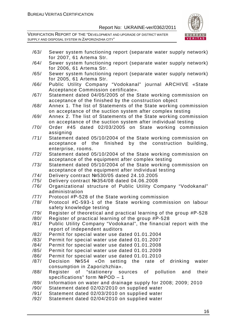

- /63/ Sewer system functioning report (separate water supply network) for 2007, 61 Artema Str.
- /64/ Sewer system functioning report (separate water supply network) for 2006, 61 Artema Str.
- /65/ Sewer system functioning report (separate water supply network) for 2005, 61 Artema Str.
- /66/ Public Utility Company "Vodokanal" journal ARCHIVE «State Acceptance Commission certificate».
- /67/ Statement dated 04/05/2005 of the State working commission on acceptance of the finished by the construction object
- /68/ Annex 1. The list of Statements of the State working commission on acceptance of the suction system after complex testing
- /69/ Annex 2. The list of Statements of the State working commission on acceptance of the suction system after individual testing
- /70/ Order #45 dated 02/03/2005 on State working commission assigning
- /71/ Statement dated 05/10/2004 of the State working commission on acceptance of the finished by the construction building, enterprise, rooms.
- /72/ Statement dated 05/10/2004 of the State working commission on acceptance of the equipment after complex testing
- /73/ Statement dated 05/10/2004 of the State working commission on acceptance of the equipment after individual testing
- /74/ Delivery contract №530/05 dated 24.10.2005
- /75/ Delivery contract №354/08 dated 04.06.2008
- /76/ Organizational structure of Public Utility Company "Vodokanal" administration
- /77/ Protocol #Р-528 of the State working commission
- /78/ Protocol #С-593-1 of the State working commission on labour safety knowledge testing
- /79/ Register of theoretical and practical learning of the group #Р-528
- /80/ Register of practical learning of the group #Р-528
- /81/ Public Utility Company "Vodokanal", the financial report with the report of independent auditors
- /82/ Permit for special water use dated 01.01.2004
- /83/ Permit for special water use dated 01.01.2007
- /84/ Permit for special water use dated 01.01.2008
- /85/ Permit for special water use dated 01.01.2009
- /86/ Permit for special water use dated 01.01.2010
- /87/ Decision №554 «On setting the rate of drinking water consumption in Zaporizhzhia».
- /88/ Register of "stationery sources of pollution and their specifications" form NºPOD - 1
- /89/ Information on water and drainage supply for 2008; 2009; 2010
- /90/ Statement dated 02/02/2010 on supplied water
- /91/ Statement dated 02/03/2010 on supplied water
- /92/ Statement dated 02/04/2010 on supplied water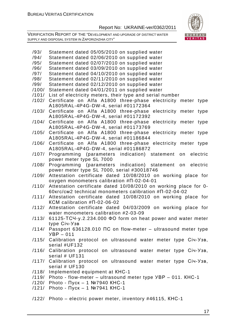

| /93/  | Statement dated 05/05/2010 on supplied water                              |
|-------|---------------------------------------------------------------------------|
| /94/  | Statement dated 02/06/2010 on supplied water                              |
| /95/  | Statement dated 02/07/2010 on supplied water                              |
| /96/  | Statement dated 03/09/2010 on supplied water                              |
| /97/  | Statement dated 04/10/2010 on supplied water                              |
| /98/  | Statement dated 02/11/2010 on supplied water                              |
| /99/  | Statement dated 02/12/2010 on supplied water                              |
|       |                                                                           |
| /100/ | Statement dated 04/01/2011 on supplied water                              |
| /101/ | List of electricity meters, their type and serial number                  |
| /102/ | Certificate on Alfa A1800 three-phase electricity meter type              |
|       | A1805RAL-4P4G-DW-4, serial #01172364                                      |
| /103/ | Certificate on Alfa A1800 three-phase electricity meter type              |
|       | A1805RAL-4P4G-DW-4, serial #01172392                                      |
|       | /104/ Certificate on Alfa A1800 three-phase electricity meter type        |
|       | A1805RAL-4P4G-DW-4, serial #01173769                                      |
|       | /105/ Certificate on Alfa A1800 three-phase<br>electricity meter type     |
|       | A1805RAL-4P4G-DW-4, serial #01186844                                      |
|       | /106/ Certificate on Alfa A1800 three-phase electricity meter type        |
|       | A1805RAL-4P4G-DW-4, serial #01186872                                      |
| /107/ | Programming (parameters indication) statement on electric                 |
|       |                                                                           |
|       | power meter type SL 7000                                                  |
| /108/ | Programming (parameters indication) statement on electric                 |
|       | power meter type SL 7000, serial #30018746                                |
|       | /109/ Attestation certificate dated 10/08/2010 on working place for       |
|       | oxygen monometers calibration #N-02-04-01                                 |
| /110/ | Attestation certificate dated 10/08/2010 on working place for 0-          |
|       | 60krc/cm2 technical monometers calibration #N-02-04-02                    |
|       | /111/ Attestation certificate dated 10/08/2010 on working place for       |
|       | KCM calibration $#$ $\Pi$ -02-06-02                                       |
|       | /112/ Attestation certificate dated 04/03/2009 on working place for       |
|       | water monometers calibration #2-03-09                                     |
|       | $/113/$ 61125-TC4-y.2.234.000 $\Phi$ O form on heat power and water meter |
|       | type Ciч-Узв                                                              |
|       | /114/ Passport 636128.010 NC on flow-meter - ultrasound meter type        |
|       | $YBP - 011$                                                               |
|       |                                                                           |
|       | /115/ Calibration protocol on ultrasound water meter type Ciu-Y3B,        |
|       | serial #UF132                                                             |
|       | /116/ Calibration protocol on ultrasound water meter type Ciu-Y3B,        |
|       | serial # UF131                                                            |
|       | /117/ Calibration protocol on ultrasound water meter type Ciu-Y3B,        |
|       | serial $# UF130$                                                          |
|       | /118/ Implemented equipment at KHC-1                                      |
|       | /119/ Photo - flow-meter - ultrasound meter type YBP - 011. KHC-1         |
|       | /120/ Photo - Пуск - 1 №7940 КНС-1                                        |
|       | /121/ Photo - Пуск - 1 №7941 КНС-1                                        |
|       |                                                                           |
|       | /122/ Photo - electric power meter, inventory #46115, KHC-1               |
|       |                                                                           |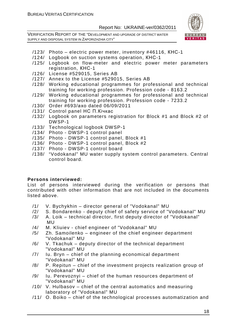VERIFICATION REPORT OF THE "DEVELOPMENT AND UPGRADE OF DISTRICT WATER SUPPLY AND DISPOSAL SYSTEM IN ZAPORIZHZHIA CITY"



- /123/ Photo electric power meter, inventory #46116, КНС-1
- /124/ Logbook on suction systems operation, КНС-1
- /125/ Logbook on flow-meter and electric power meter parameters registration, КНС-1
- /126/ License #529015, Series AB
- /127/ Annex to the License #529015, Series AB
- /128/ Working educational programmes for professional and technical training for working profession. Profession code - 8163.2
- /129/ Working educational programmes for professional and technical training for working profession. Profession code - 7233.2
- /130/ Order #693/ахо dated 06/09/2011
- /131/ Control panel НС П.Кічкас
- /132/ Logbook on parameters registration for Block #1 and Block #2 of DWSP-1
- /133/ Technological logbook DWSP-1
- /134/ Photo DWSP-1 control panel
- /135/ Photo DWSP-1 control panel, Block #1
- /136/ Photo DWSP-1 control panel, Block #2
- /137/ Photo DWSP-1 control board
- /138/ "Vodokanal" MU water supply system control parameters. Central control board.

#### **Persons interviewed:**

List of persons interviewed during the verification or persons that contributed with other information that are not included in the documents listed above.

- /1/ V. Bychykhin director general of "Vodokanal" MU
- /2/ S. Bondarenko deputy chief of safety service of "Vodokanal" MU
- /3/ A. Loik technical director, first deputy director of "Vodokanal" MU
- /4/ M. Kliuiev chief engineer of "Vodokanal" MU
- /5/ Zh. Samoilenko engineer of the chief engineer department "Vodokanal" MU
- /6/ V. Tkachuk deputy director of the technical department "Vodokanal" MU
- /7/ Iu. Bryn chief of the planning economical department "Vodokanal" MU
- /8/ P. Repitun chief of the investment projects realization group of "Vodokanal" MU
- /9/ Iu. Perevoznyi chief of the human resources department of "Vodokanal" MU
- /10/ V. Hulbasov chief of the central automatics and measuring laboratory of "Vodokanal" MU
- /11/ O. Boiko chief of the technological processes automatization and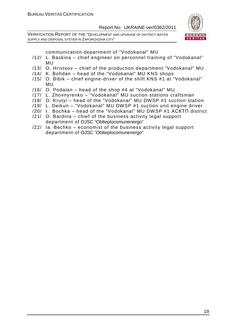VERIFICATION REPORT OF THE "DEVELOPMENT AND UPGRADE OF DISTRICT WATER SUPPLY AND DISPOSAL SYSTEM IN ZAPORIZHZHIA CITY"



communication department of "Vodokanal" MU

- /12/ L. Baskina chief engineer on personnel training of "Vodokanal" MU
- /13/ O. Hrivtsov chief of the production department "Vodokanal" MU
- /14/ K. Bohdan head of the "Vodokanal" MU KNS shops
- /15/ O. Bibik chief engine-driver of the shift KNS #1 at "Vodokanal" MU
- /16/ O. Podalan head of the shop #4 at "Vodokanal" MU
- /17/ L. Zhovnyrenko "Vodokanal" MU suction stations craftsman
- /18/ O. Krutyi head of the "Vodokanal" MU DWSP #1 suction station
- /19/ L. Deikun "Vodokanal" MU DWSP #1 suction unit engine driver
- /20/ I. Bochka head of the "Vodokanal" MU DWSP #1 АСКТП district
- /21/ O. Bardina chief of the business activity legal support department of OJSC "Oblteplocomunenergo"
- /22/ Ia. Bechko economist of the business activity legal support department of OJSC "Oblteplocomunenergo"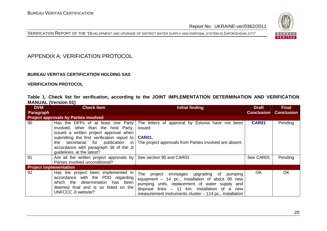



## APPENDIX A: VERIFICATION PROTOCOL

#### **BUREAU VERITAS CERTIFICATION HOLDING SAS**

**VERIFICATION PROTOCOL** 

|                            |  |  | Table 1. Check list for verification, according to the JOINT IMPLEMENTATION DETERMINATION AND VERIFICATION |  |  |
|----------------------------|--|--|------------------------------------------------------------------------------------------------------------|--|--|
| <b>MANUAL (Version 01)</b> |  |  |                                                                                                            |  |  |

| <b>DVM</b>                    | <b>Check Item</b>                                                                                                                                                                                                                                                                    | Initial finding                                                                                                                                                                                                                                                    | <b>Draft</b>      | <b>Final</b>      |
|-------------------------------|--------------------------------------------------------------------------------------------------------------------------------------------------------------------------------------------------------------------------------------------------------------------------------------|--------------------------------------------------------------------------------------------------------------------------------------------------------------------------------------------------------------------------------------------------------------------|-------------------|-------------------|
| Paragraph                     |                                                                                                                                                                                                                                                                                      |                                                                                                                                                                                                                                                                    | <b>Conclusion</b> | <b>Conclusion</b> |
|                               | <b>Project approvals by Parties involved</b>                                                                                                                                                                                                                                         |                                                                                                                                                                                                                                                                    |                   |                   |
| 90                            | Has the DFPs of at least one Party<br>involved, other than the host Party,<br>issued a written project approval when<br>submitting the first verification report to<br>secretariat for publication in<br>the<br>accordance with paragraph 38 of the JI<br>quidelines, at the latest? | The letters of approval by Estonia have not been<br>issued.<br><b>CAR01.</b><br>The project approvals from Parties involved are absent.                                                                                                                            | <b>CAR01</b>      | Pending           |
| 91                            | Are all the written project approvals by<br>Parties involved unconditional?                                                                                                                                                                                                          | See section 90 and CAR01                                                                                                                                                                                                                                           | See CAR01         | Pending           |
| <b>Project implementation</b> |                                                                                                                                                                                                                                                                                      |                                                                                                                                                                                                                                                                    |                   |                   |
| 92                            | Has the project been implemented in<br>accordance with the PDD regarding<br>which the determination has been<br>deemed final and is so listed on the<br>UNFCCC JI website?                                                                                                           | The project<br>envisages upgrading of<br>pumping<br>equipment - 14 pc., installation of about 90 new<br>pumping units, replacement of water supply and<br>disposal lines - 11 km, installation of a new<br>measurement instruments cluster – 114 pc., installation | <b>OK</b>         | OK                |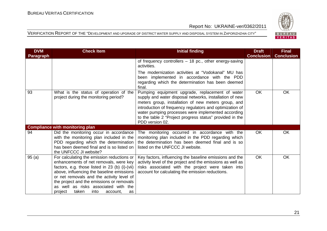

| <b>DVM</b> | <b>Check Item</b>                                                                                                                                                                                                                                                                                                                                                   | <b>Initial finding</b>                                                                                                                                                                                                                                                                                                                                             | <b>Draft</b>      | <b>Final</b>      |
|------------|---------------------------------------------------------------------------------------------------------------------------------------------------------------------------------------------------------------------------------------------------------------------------------------------------------------------------------------------------------------------|--------------------------------------------------------------------------------------------------------------------------------------------------------------------------------------------------------------------------------------------------------------------------------------------------------------------------------------------------------------------|-------------------|-------------------|
| Paragraph  |                                                                                                                                                                                                                                                                                                                                                                     |                                                                                                                                                                                                                                                                                                                                                                    | <b>Conclusion</b> | <b>Conclusion</b> |
|            |                                                                                                                                                                                                                                                                                                                                                                     | of frequency controllers - 18 pc., other energy-saving<br>activities.                                                                                                                                                                                                                                                                                              |                   |                   |
|            |                                                                                                                                                                                                                                                                                                                                                                     | The modernization activities at "Vodokanal" MU has<br>been implemented in accordance with the PDD<br>regarding which the determination has been deemed<br>final.                                                                                                                                                                                                   |                   |                   |
| 93         | What is the status of operation of the<br>project during the monitoring period?                                                                                                                                                                                                                                                                                     | Pumping equipment upgrade, replacement of water<br>supply and water disposal networks, installation of new<br>meters group, installation of new meters group, and<br>introduction of frequency regulators and optimization of<br>water pumping processes were implemented according<br>to the table 2 "Project progress status" provided in the<br>PDD version 02. | <b>OK</b>         | <b>OK</b>         |
|            | <b>Compliance with monitoring plan</b>                                                                                                                                                                                                                                                                                                                              |                                                                                                                                                                                                                                                                                                                                                                    |                   |                   |
| 94         | Did the monitoring occur in accordance<br>with the monitoring plan included in the<br>PDD regarding which the determination<br>has been deemed final and is so listed on<br>the UNFCCC JI website?                                                                                                                                                                  | The monitoring occurred in accordance with the<br>monitoring plan included in the PDD regarding which<br>the determination has been deemed final and is so<br>listed on the UNFCCC JI website.                                                                                                                                                                     | <b>OK</b>         | OK                |
| 95(a)      | For calculating the emission reductions or<br>enhancements of net removals, were key<br>factors, e.g. those listed in 23 (b) (i)-(vii)<br>above, influencing the baseline emissions<br>or net removals and the activity level of<br>the project and the emissions or removals<br>as well as risks associated with the<br>taken<br>into<br>project<br>account,<br>as | Key factors, influencing the baseline emissions and the<br>activity level of the project and the emissions as well as<br>risks associated with the project were taken into<br>account for calculating the emission reductions.                                                                                                                                     | <b>OK</b>         | <b>OK</b>         |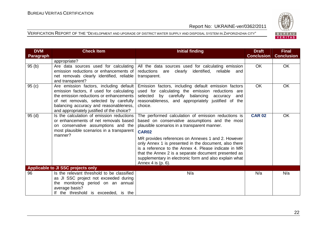

| <b>DVM</b>       | <b>Check Item</b>                                                                                                                                                                                                                                                 | <b>Initial finding</b>                                                                                                                                                                                                                                                                                                                                                                                                                                                               | <b>Draft</b>      | <b>Final</b>      |
|------------------|-------------------------------------------------------------------------------------------------------------------------------------------------------------------------------------------------------------------------------------------------------------------|--------------------------------------------------------------------------------------------------------------------------------------------------------------------------------------------------------------------------------------------------------------------------------------------------------------------------------------------------------------------------------------------------------------------------------------------------------------------------------------|-------------------|-------------------|
| <b>Paragraph</b> |                                                                                                                                                                                                                                                                   |                                                                                                                                                                                                                                                                                                                                                                                                                                                                                      | <b>Conclusion</b> | <b>Conclusion</b> |
|                  | appropriate?                                                                                                                                                                                                                                                      |                                                                                                                                                                                                                                                                                                                                                                                                                                                                                      |                   |                   |
| 95(b)            | Are data sources used for calculating<br>emission reductions or enhancements of<br>net removals clearly identified, reliable<br>and transparent?                                                                                                                  | All the data sources used for calculating emission<br>reductions are clearly identified, reliable<br>and<br>transparent.                                                                                                                                                                                                                                                                                                                                                             | OK.               | OK                |
| 95(c)            | Are emission factors, including default<br>emission factors, if used for calculating<br>the emission reductions or enhancements<br>of net removals, selected by carefully<br>balancing accuracy and reasonableness,<br>and appropriately justified of the choice? | Emission factors, including default emission factors<br>used for calculating the emission reductions are<br>by carefully balancing<br>selected<br>accuracy<br>and<br>reasonableness, and appropriately justified of the<br>choice.                                                                                                                                                                                                                                                   | <b>OK</b>         | OK                |
| 95(d)            | Is the calculation of emission reductions<br>or enhancements of net removals based<br>on conservative assumptions and the<br>most plausible scenarios in a transparent<br>manner?                                                                                 | The performed calculation of emission reductions is<br>based on conservative assumptions and the most<br>plausible scenarios in a transparent manner.<br><b>CAR02</b><br>MR provides references on Annexes 1 and 2. However<br>only Annex 1 is presented in the document, also there<br>is a reference to the Annex 4. Please indicate in MR<br>that the Annex 2 is a separate document presented as<br>supplementary in electronic form and also explain what<br>Annex 4 is (p. 6). | <b>CAR 02</b>     | <b>OK</b>         |
|                  | Applicable to JI SSC projects only                                                                                                                                                                                                                                |                                                                                                                                                                                                                                                                                                                                                                                                                                                                                      |                   |                   |
| 96               | Is the relevant threshold to be classified<br>as JI SSC project not exceeded during<br>the monitoring period on an annual<br>average basis?<br>If the threshold is exceeded, is the                                                                               | N/a                                                                                                                                                                                                                                                                                                                                                                                                                                                                                  | N/a               | N/a               |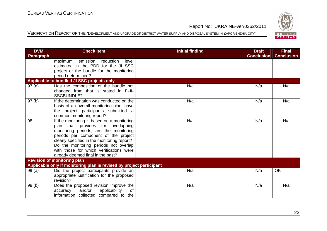

| <b>DVM</b>       | <b>Check Item</b>                                                              | <b>Initial finding</b> | <b>Draft</b>      | <b>Final</b>      |
|------------------|--------------------------------------------------------------------------------|------------------------|-------------------|-------------------|
| <b>Paragraph</b> |                                                                                |                        | <b>Conclusion</b> | <b>Conclusion</b> |
|                  | emission<br>reduction<br>maximum<br>level                                      |                        |                   |                   |
|                  | estimated in the PDD for the JI SSC                                            |                        |                   |                   |
|                  | project or the bundle for the monitoring                                       |                        |                   |                   |
|                  | period determined?                                                             |                        |                   |                   |
|                  | Applicable to bundled JI SSC projects only                                     |                        |                   |                   |
| 97(a)            | Has the composition of the bundle not                                          | N/a                    | N/a               | N/a               |
|                  | changed from that is stated in F-JI-                                           |                        |                   |                   |
|                  | SSCBUNDLE?                                                                     |                        |                   |                   |
| 97(b)            | If the determination was conducted on the                                      | N/a                    | N/a               | N/a               |
|                  | basis of an overall monitoring plan, have                                      |                        |                   |                   |
|                  | the project participants submitted a                                           |                        |                   |                   |
|                  | common monitoring report?                                                      |                        |                   |                   |
| 98               | If the monitoring is based on a monitoring                                     | N/a                    | N/a               | N/a               |
|                  | plan that provides for overlapping                                             |                        |                   |                   |
|                  | monitoring periods, are the monitoring<br>periods per component of the project |                        |                   |                   |
|                  | clearly specified in the monitoring report?                                    |                        |                   |                   |
|                  | Do the monitoring periods not overlap                                          |                        |                   |                   |
|                  | with those for which verifications were                                        |                        |                   |                   |
|                  | already deemed final in the past?                                              |                        |                   |                   |
|                  | <b>Revision of monitoring plan</b>                                             |                        |                   |                   |
|                  | Applicable only if monitoring plan is revised by project participant           |                        |                   |                   |
| 99(a)            | Did the project participants provide an                                        | N/a                    | N/a               | OK                |
|                  | appropriate justification for the proposed                                     |                        |                   |                   |
|                  | revision?                                                                      |                        |                   |                   |
| 99(b)            | Does the proposed revision improve the                                         | N/a                    | N/a               | N/a               |
|                  | and/or<br>applicability<br>of<br>accuracy                                      |                        |                   |                   |
|                  | information collected compared to the                                          |                        |                   |                   |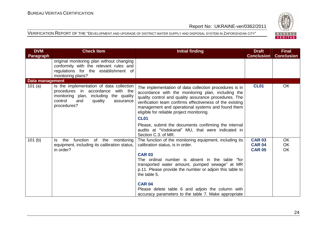

| <b>DVM</b>             | <b>Check Item</b>                                                                                                                                                                   | <b>Initial finding</b>                                                                                                                                                                                                                                                                                                                             | <b>Draft</b>                                    | <b>Final</b>                 |
|------------------------|-------------------------------------------------------------------------------------------------------------------------------------------------------------------------------------|----------------------------------------------------------------------------------------------------------------------------------------------------------------------------------------------------------------------------------------------------------------------------------------------------------------------------------------------------|-------------------------------------------------|------------------------------|
| <b>Paragraph</b>       |                                                                                                                                                                                     |                                                                                                                                                                                                                                                                                                                                                    | <b>Conclusion</b>                               | <b>Conclusion</b>            |
|                        | original monitoring plan without changing                                                                                                                                           |                                                                                                                                                                                                                                                                                                                                                    |                                                 |                              |
|                        | conformity with the relevant rules and<br>regulations for the establishment of                                                                                                      |                                                                                                                                                                                                                                                                                                                                                    |                                                 |                              |
|                        | monitoring plans?                                                                                                                                                                   |                                                                                                                                                                                                                                                                                                                                                    |                                                 |                              |
| <b>Data management</b> |                                                                                                                                                                                     |                                                                                                                                                                                                                                                                                                                                                    |                                                 |                              |
| 101 $(a)$              | Is the implementation of data collection<br>procedures in accordance with the<br>monitoring plan,<br>including the quality<br>control<br>quality<br>and<br>assurance<br>procedures? | The implementation of data collection procedures is in<br>accordance with the monitoring plan, including the<br>quality control and quality assurance procedures. The<br>verification team confirms effectiveness of the existing<br>management and operational systems and found them<br>eligible for reliable project monitoring.<br><b>CL01</b> | <b>CL01</b>                                     | <b>OK</b>                    |
|                        |                                                                                                                                                                                     | Please, submit the documents confirming the internal<br>audits at "Vodokanal" MU, that were indicated in<br>Section C.3. of MR.                                                                                                                                                                                                                    |                                                 |                              |
| 101(b)                 | function<br>the<br>of<br>the<br>monitoring<br>ls.<br>equipment, including its calibration status,<br>in order?                                                                      | The function of the monitoring equipment, including its<br>calibration status, is in order.<br><b>CAR 03</b>                                                                                                                                                                                                                                       | <b>CAR 03</b><br><b>CAR 04</b><br><b>CAR 05</b> | <b>OK</b><br><b>OK</b><br>OK |
|                        |                                                                                                                                                                                     | The ordinal number is absent in the table "for<br>transported water amount, pumped sewage" at MR<br>p.11. Please provide the number or adjoin this table to<br>the table 5.                                                                                                                                                                        |                                                 |                              |
|                        |                                                                                                                                                                                     | <b>CAR 04</b><br>Please delete table 6 and adjoin the column with<br>accuracy parameters to the table 7. Make appropriate                                                                                                                                                                                                                          |                                                 |                              |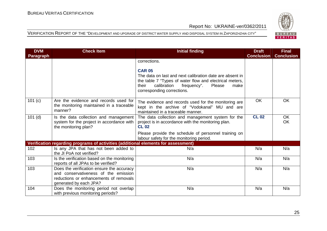

| <b>DVM</b>       | <b>Check Item</b>                                                                                                                                     | <b>Initial finding</b>                                                                                                                                                                                                      | <b>Draft</b>      | <b>Final</b>      |
|------------------|-------------------------------------------------------------------------------------------------------------------------------------------------------|-----------------------------------------------------------------------------------------------------------------------------------------------------------------------------------------------------------------------------|-------------------|-------------------|
| <b>Paragraph</b> |                                                                                                                                                       |                                                                                                                                                                                                                             | <b>Conclusion</b> | <b>Conclusion</b> |
|                  |                                                                                                                                                       | corrections.                                                                                                                                                                                                                |                   |                   |
|                  |                                                                                                                                                       | <b>CAR 05</b><br>The data on last and next calibration date are absent in<br>the table 7 "Types of water flow and electrical meters,<br>calibration<br>their<br>frequency".<br>Please<br>make<br>corresponding corrections. |                   |                   |
| 101 (c)          | Are the evidence and records used for<br>the monitoring maintained in a traceable<br>manner?                                                          | The evidence and records used for the monitoring are<br>kept in the archive of "Vodokanal" MU and are<br>maintained in a traceable manner.                                                                                  | <b>OK</b>         | <b>OK</b>         |
| $101$ (d)        | Is the data collection and management<br>system for the project in accordance with<br>the monitoring plan?                                            | The data collection and management system for the<br>project is in accordance with the monitoring plan.<br><b>CL 02</b>                                                                                                     | <b>CL 02</b>      | OK<br><b>OK</b>   |
|                  |                                                                                                                                                       | Please provide the schedule of personnel training on<br>labour safety for the monitoring period.                                                                                                                            |                   |                   |
|                  | Verification regarding programs of activities (additional elements for assessment)                                                                    |                                                                                                                                                                                                                             |                   |                   |
| 102              | Is any JPA that has not been added to<br>the JI PoA not verified?                                                                                     | N/a                                                                                                                                                                                                                         | N/a               | N/a               |
| 103              | Is the verification based on the monitoring<br>reports of all JPAs to be verified?                                                                    | N/a                                                                                                                                                                                                                         | N/a               | N/a               |
| 103              | Does the verification ensure the accuracy<br>and conservativeness of the emission<br>reductions or enhancements of removals<br>generated by each JPA? | N/a                                                                                                                                                                                                                         | N/a               | N/a               |
| 104              | Does the monitoring period not overlap<br>with previous monitoring periods?                                                                           | N/a                                                                                                                                                                                                                         | N/a               | N/a               |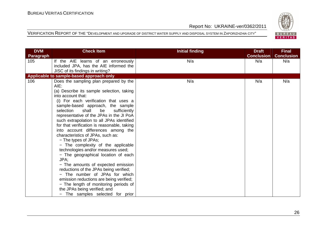

| <b>DVM</b>       | <b>Check Item</b>                                             | <b>Initial finding</b> | <b>Draft</b>      | <b>Final</b>      |
|------------------|---------------------------------------------------------------|------------------------|-------------------|-------------------|
| <b>Paragraph</b> |                                                               |                        | <b>Conclusion</b> | <b>Conclusion</b> |
| 105              | If the AIE learns of an erroneously                           | N/a                    | N/a               | N/a               |
|                  | included JPA, has the AIE informed the                        |                        |                   |                   |
|                  | JISC of its findings in writing?                              |                        |                   |                   |
|                  | Applicable to sample-based approach only                      |                        |                   |                   |
| 106              | Does the sampling plan prepared by the<br>AIE:                | N/a                    | N/a               | N/a               |
|                  | (a) Describe its sample selection, taking                     |                        |                   |                   |
|                  | into account that:                                            |                        |                   |                   |
|                  | (i) For each verification that uses a                         |                        |                   |                   |
|                  | sample-based approach, the sample<br>selection<br>shall<br>be |                        |                   |                   |
|                  | sufficiently<br>representative of the JPAs in the JI PoA      |                        |                   |                   |
|                  | such extrapolation to all JPAs identified                     |                        |                   |                   |
|                  | for that verification is reasonable, taking                   |                        |                   |                   |
|                  | into account differences among the                            |                        |                   |                   |
|                  | characteristics of JPAs, such as:                             |                        |                   |                   |
|                  | - The types of JPAs;                                          |                        |                   |                   |
|                  | - The complexity of the applicable                            |                        |                   |                   |
|                  | technologies and/or measures used;                            |                        |                   |                   |
|                  | - The geographical location of each                           |                        |                   |                   |
|                  | JPA;                                                          |                        |                   |                   |
|                  | - The amounts of expected emission                            |                        |                   |                   |
|                  | reductions of the JPAs being verified;                        |                        |                   |                   |
|                  | - The number of JPAs for which                                |                        |                   |                   |
|                  | emission reductions are being verified;                       |                        |                   |                   |
|                  | - The length of monitoring periods of                         |                        |                   |                   |
|                  | the JPAs being verified; and                                  |                        |                   |                   |
|                  | - The samples selected for prior                              |                        |                   |                   |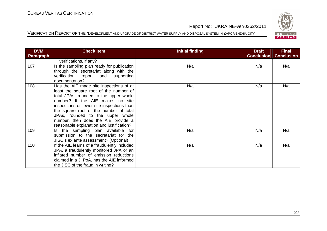

| <b>DVM</b> | <b>Check Item</b>                                                                                                                                                                                                                                                                                                                                                               | Initial finding | <b>Draft</b>      | <b>Final</b>      |
|------------|---------------------------------------------------------------------------------------------------------------------------------------------------------------------------------------------------------------------------------------------------------------------------------------------------------------------------------------------------------------------------------|-----------------|-------------------|-------------------|
| Paragraph  |                                                                                                                                                                                                                                                                                                                                                                                 |                 | <b>Conclusion</b> | <b>Conclusion</b> |
|            | verifications, if any?                                                                                                                                                                                                                                                                                                                                                          |                 |                   |                   |
| 107        | Is the sampling plan ready for publication<br>through the secretariat along with the<br>verification report and supporting<br>documentation?                                                                                                                                                                                                                                    | N/a             | N/a               | N/a               |
| 108        | Has the AIE made site inspections of at<br>least the square root of the number of<br>total JPAs, rounded to the upper whole<br>number? If the AIE makes no site<br>inspections or fewer site inspections than<br>the square root of the number of total<br>JPAs, rounded to the upper whole<br>number, then does the AIE provide a<br>reasonable explanation and justification? | N/a             | N/a               | N/a               |
| 109        | Is the sampling plan available for<br>submission to the secretariat for the<br>JISC.s ex ante assessment? (Optional)                                                                                                                                                                                                                                                            | N/a             | N/a               | N/a               |
| 110        | If the AIE learns of a fraudulently included<br>JPA, a fraudulently monitored JPA or an<br>inflated number of emission reductions<br>claimed in a JI PoA, has the AIE informed<br>the JISC of the fraud in writing?                                                                                                                                                             | N/a             | N/a               | N/a               |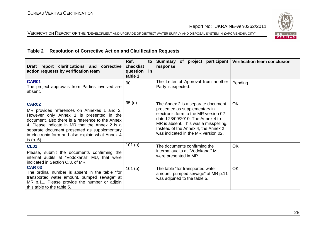VERIFICATION REPORT OF THE "DEVELOPMENT AND UPGRADE OF DISTRICT WATER SUPPLY AND DISPOSAL SYSTEM IN ZAPORIZHZHIA CITY"



#### **Table 2 Resolution of Corrective Action and Clarification Requests**

| Draft report clarifications and corrective<br>action requests by verification team                                                                                                                                                                                                                                             | Ref.<br>to<br>checklist<br>question in<br>table 1 | Summary of project participant<br>response                                                                                                                                                                                                                             | <b>Verification team conclusion</b> |
|--------------------------------------------------------------------------------------------------------------------------------------------------------------------------------------------------------------------------------------------------------------------------------------------------------------------------------|---------------------------------------------------|------------------------------------------------------------------------------------------------------------------------------------------------------------------------------------------------------------------------------------------------------------------------|-------------------------------------|
| <b>CAR01</b><br>The project approvals from Parties involved are<br>absent.                                                                                                                                                                                                                                                     | 90                                                | The Letter of Approval from another<br>Party is expected.                                                                                                                                                                                                              | Pending                             |
| <b>CAR02</b><br>MR provides references on Annexes 1 and 2.<br>However only Annex 1 is presented in the<br>document, also there is a reference to the Annex<br>4. Please indicate in MR that the Annex 2 is a<br>separate document presented as supplementary<br>in electronic form and also explain what Annex 4<br>is (p. 6). | 95(d)                                             | The Annex 2 is a separate document<br>presented as supplementary in<br>electronic form to the MR version 02<br>dated 23/09/2010. The Annex 4 to<br>MR is absent. This was a misspelling.<br>Instead of the Annex 4, the Annex 2<br>was indicated in the MR version 02. | <b>OK</b>                           |
| <b>CL01</b><br>Please, submit the documents confirming the<br>internal audits at "Vodokanal" MU, that were<br>indicated in Section C.3. of MR.                                                                                                                                                                                 | 101(a)                                            | The documents confirming the<br>internal audits at "Vodokanal" MU<br>were presented in MR.                                                                                                                                                                             | <b>OK</b>                           |
| <b>CAR 03</b><br>The ordinal number is absent in the table "for<br>transported water amount, pumped sewage" at<br>MR p.11. Please provide the number or adjoin<br>this table to the table 5.                                                                                                                                   | 101(b)                                            | The table "for transported water<br>amount, pumped sewage" at MR p.11<br>was adjoined to the table 5.                                                                                                                                                                  | <b>OK</b>                           |